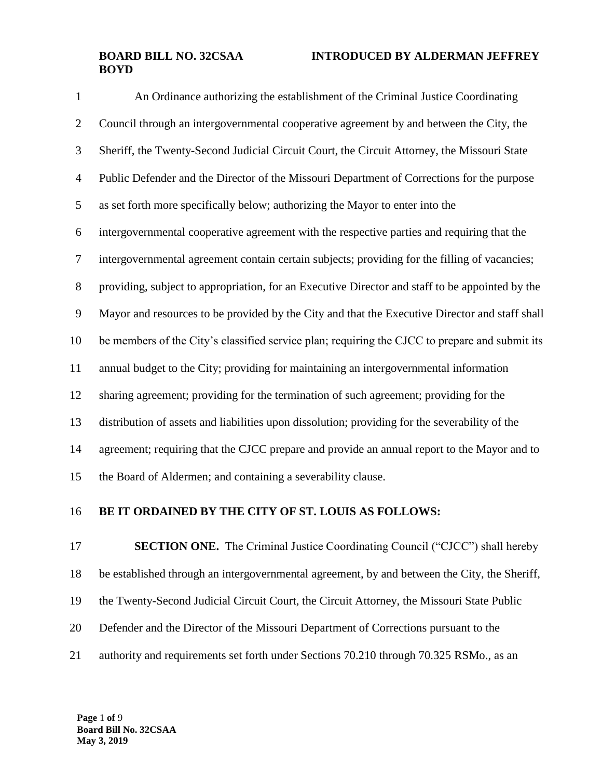An Ordinance authorizing the establishment of the Criminal Justice Coordinating Council through an intergovernmental cooperative agreement by and between the City, the Sheriff, the Twenty-Second Judicial Circuit Court, the Circuit Attorney, the Missouri State Public Defender and the Director of the Missouri Department of Corrections for the purpose as set forth more specifically below; authorizing the Mayor to enter into the intergovernmental cooperative agreement with the respective parties and requiring that the intergovernmental agreement contain certain subjects; providing for the filling of vacancies; providing, subject to appropriation, for an Executive Director and staff to be appointed by the Mayor and resources to be provided by the City and that the Executive Director and staff shall be members of the City's classified service plan; requiring the CJCC to prepare and submit its annual budget to the City; providing for maintaining an intergovernmental information sharing agreement; providing for the termination of such agreement; providing for the distribution of assets and liabilities upon dissolution; providing for the severability of the 14 agreement; requiring that the CJCC prepare and provide an annual report to the Mayor and to the Board of Aldermen; and containing a severability clause.

#### **BE IT ORDAINED BY THE CITY OF ST. LOUIS AS FOLLOWS:**

**SECTION ONE.** The Criminal Justice Coordinating Council ("CJCC") shall hereby be established through an intergovernmental agreement, by and between the City, the Sheriff, the Twenty-Second Judicial Circuit Court, the Circuit Attorney, the Missouri State Public Defender and the Director of the Missouri Department of Corrections pursuant to the authority and requirements set forth under Sections 70.210 through 70.325 RSMo., as an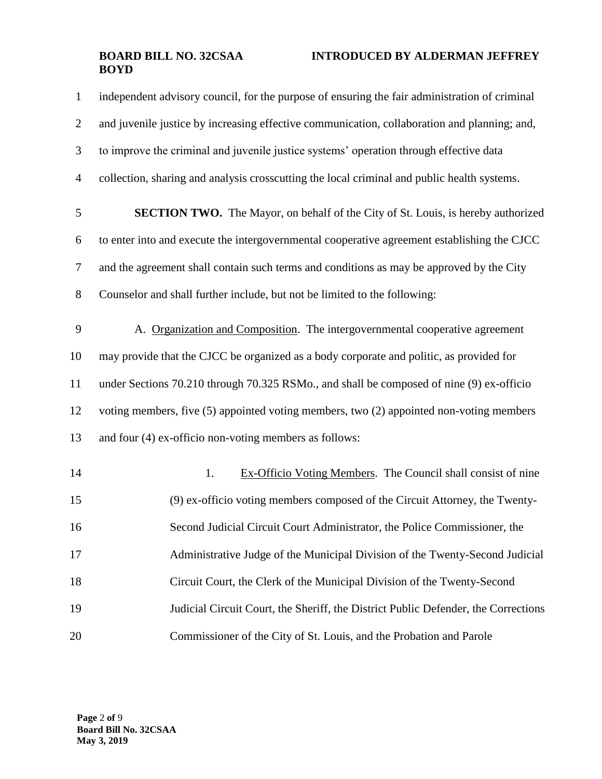| $\mathbf{1}$   | independent advisory council, for the purpose of ensuring the fair administration of criminal |
|----------------|-----------------------------------------------------------------------------------------------|
| $\sqrt{2}$     | and juvenile justice by increasing effective communication, collaboration and planning; and,  |
| 3              | to improve the criminal and juvenile justice systems' operation through effective data        |
| $\overline{4}$ | collection, sharing and analysis crosscutting the local criminal and public health systems.   |
| 5              | <b>SECTION TWO.</b> The Mayor, on behalf of the City of St. Louis, is hereby authorized       |
| 6              | to enter into and execute the intergovernmental cooperative agreement establishing the CJCC   |
| $\tau$         | and the agreement shall contain such terms and conditions as may be approved by the City      |
| 8              | Counselor and shall further include, but not be limited to the following:                     |
| 9              | A. Organization and Composition. The intergovernmental cooperative agreement                  |
| 10             | may provide that the CJCC be organized as a body corporate and politic, as provided for       |
| 11             | under Sections 70.210 through 70.325 RSMo., and shall be composed of nine (9) ex-officio      |
| 12             | voting members, five (5) appointed voting members, two (2) appointed non-voting members       |
| 13             | and four (4) ex-officio non-voting members as follows:                                        |
| 14             | 1.<br>Ex-Officio Voting Members. The Council shall consist of nine                            |
| 15             | (9) ex-officio voting members composed of the Circuit Attorney, the Twenty-                   |
| 16             | Second Judicial Circuit Court Administrator, the Police Commissioner, the                     |
| 17             | Administrative Judge of the Municipal Division of the Twenty-Second Judicial                  |
| 18             | Circuit Court, the Clerk of the Municipal Division of the Twenty-Second                       |
| 19             | Judicial Circuit Court, the Sheriff, the District Public Defender, the Corrections            |
| 20             | Commissioner of the City of St. Louis, and the Probation and Parole                           |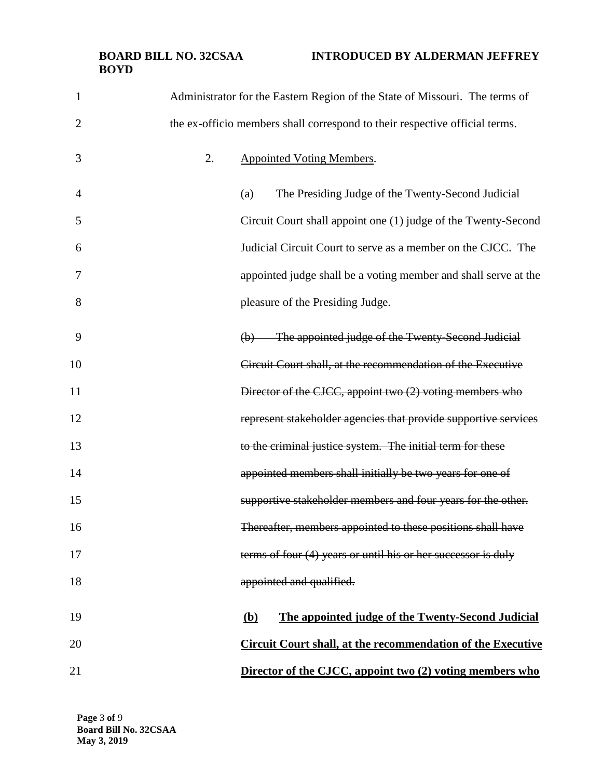# **BOYD**

| $\mathbf{1}$   | Administrator for the Eastern Region of the State of Missouri. The terms of    |
|----------------|--------------------------------------------------------------------------------|
| $\overline{2}$ | the ex-officio members shall correspond to their respective official terms.    |
| 3              | 2.<br><b>Appointed Voting Members.</b>                                         |
| $\overline{4}$ | The Presiding Judge of the Twenty-Second Judicial<br>(a)                       |
| 5              | Circuit Court shall appoint one (1) judge of the Twenty-Second                 |
| 6              | Judicial Circuit Court to serve as a member on the CJCC. The                   |
| 7              | appointed judge shall be a voting member and shall serve at the                |
| 8              | pleasure of the Presiding Judge.                                               |
| 9              | The appointed judge of the Twenty-Second Judicial<br>$\left(\mathbf{b}\right)$ |
| 10             | Circuit Court shall, at the recommendation of the Executive                    |
| 11             | Director of the CJCC, appoint two (2) voting members who                       |
| 12             | represent stakeholder agencies that provide supportive services                |
| 13             | to the criminal justice system. The initial term for these                     |
| 14             | appointed members shall initially be two years for one of                      |
| 15             | supportive stakeholder members and four years for the other.                   |
| 16             | Thereafter, members appointed to these positions shall have                    |
| 17             | terms of four (4) years or until his or her successor is duly                  |
| 18             | appointed and qualified.                                                       |
| 19             | The appointed judge of the Twenty-Second Judicial<br>(b)                       |
| 20             | <b>Circuit Court shall, at the recommendation of the Executive</b>             |
| 21             | Director of the CJCC, appoint two (2) voting members who                       |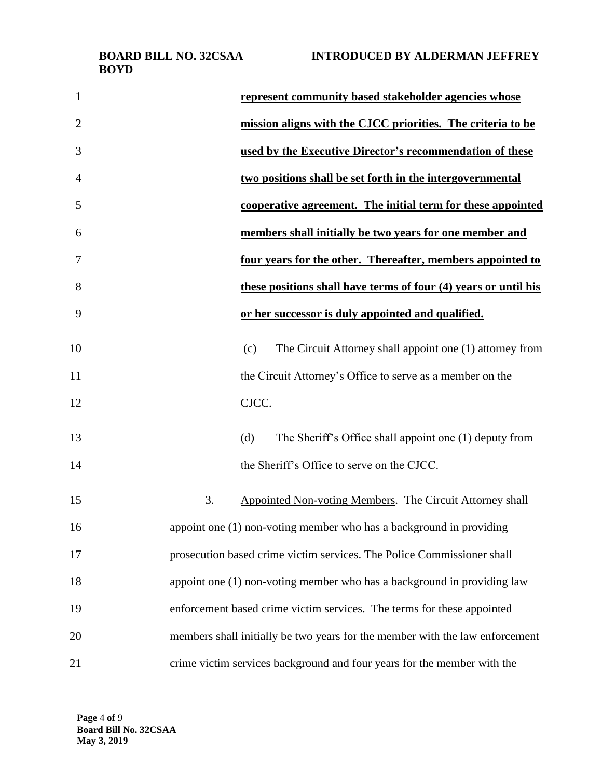**BOYD**

| <i>лига.</i> | INTRODUCED DT ALDERWAN |
|--------------|------------------------|
|              |                        |
|              |                        |
|              |                        |

| $\mathbf{1}$   | represent community based stakeholder agencies whose                         |
|----------------|------------------------------------------------------------------------------|
| $\overline{2}$ | mission aligns with the CJCC priorities. The criteria to be                  |
| 3              | used by the Executive Director's recommendation of these                     |
| 4              | two positions shall be set forth in the intergovernmental                    |
| 5              | cooperative agreement. The initial term for these appointed                  |
| 6              | members shall initially be two years for one member and                      |
| 7              | four years for the other. Thereafter, members appointed to                   |
| 8              | these positions shall have terms of four (4) years or until his              |
| 9              | or her successor is duly appointed and qualified.                            |
| 10             | The Circuit Attorney shall appoint one (1) attorney from<br>(c)              |
| 11             | the Circuit Attorney's Office to serve as a member on the                    |
| 12             | CJCC.                                                                        |
| 13             | The Sheriff's Office shall appoint one (1) deputy from<br>(d)                |
| 14             | the Sheriff's Office to serve on the CJCC.                                   |
| 15             | 3.<br>Appointed Non-voting Members. The Circuit Attorney shall               |
| 16             | appoint one (1) non-voting member who has a background in providing          |
| 17             | prosecution based crime victim services. The Police Commissioner shall       |
| 18             | appoint one (1) non-voting member who has a background in providing law      |
| 19             | enforcement based crime victim services. The terms for these appointed       |
| 20             | members shall initially be two years for the member with the law enforcement |
| 21             | crime victim services background and four years for the member with the      |

**Page** 4 **of** 9 **Board Bill No. 32CSAA May 3, 2019**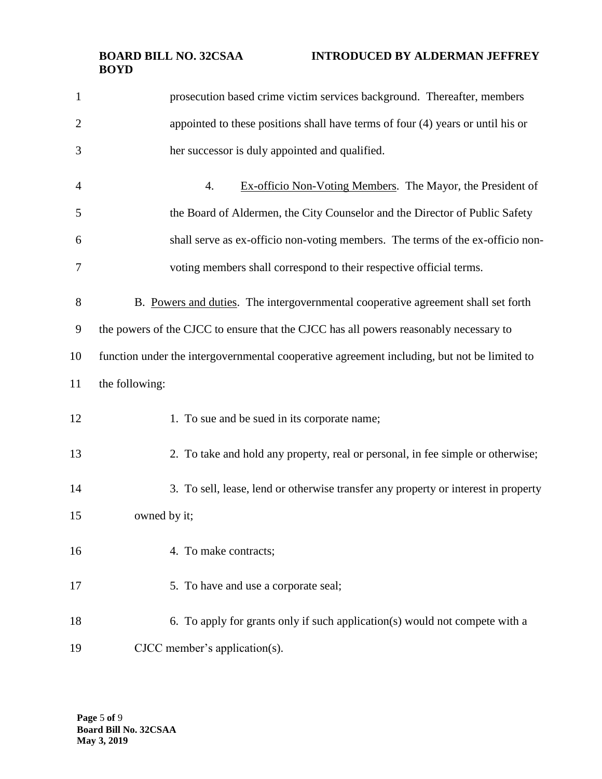| $\mathbf{1}$   | prosecution based crime victim services background. Thereafter, members                     |
|----------------|---------------------------------------------------------------------------------------------|
| $\overline{2}$ | appointed to these positions shall have terms of four (4) years or until his or             |
| 3              | her successor is duly appointed and qualified.                                              |
| 4              | Ex-officio Non-Voting Members. The Mayor, the President of<br>$\overline{4}$ .              |
| 5              | the Board of Aldermen, the City Counselor and the Director of Public Safety                 |
| 6              | shall serve as ex-officio non-voting members. The terms of the ex-officio non-              |
| 7              | voting members shall correspond to their respective official terms.                         |
| 8              | B. Powers and duties. The intergovernmental cooperative agreement shall set forth           |
| 9              | the powers of the CJCC to ensure that the CJCC has all powers reasonably necessary to       |
| 10             | function under the intergovernmental cooperative agreement including, but not be limited to |
| 11             | the following:                                                                              |
| 12             | 1. To sue and be sued in its corporate name;                                                |
| 13             | 2. To take and hold any property, real or personal, in fee simple or otherwise;             |
| 14             | 3. To sell, lease, lend or otherwise transfer any property or interest in property          |
| 15             | owned by it;                                                                                |
| 16             | 4. To make contracts;                                                                       |
| 17             | 5. To have and use a corporate seal;                                                        |
| 18             | 6. To apply for grants only if such application(s) would not compete with a                 |
|                |                                                                                             |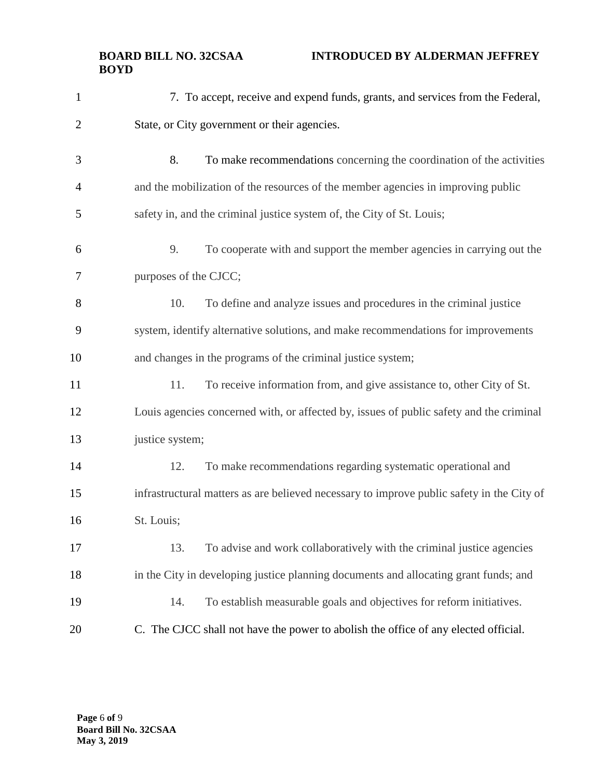| $\mathbf{1}$   | 7. To accept, receive and expend funds, grants, and services from the Federal,            |
|----------------|-------------------------------------------------------------------------------------------|
| $\overline{2}$ | State, or City government or their agencies.                                              |
| 3              | 8.<br>To make recommendations concerning the coordination of the activities               |
| $\overline{4}$ | and the mobilization of the resources of the member agencies in improving public          |
| 5              | safety in, and the criminal justice system of, the City of St. Louis;                     |
| 6              | 9.<br>To cooperate with and support the member agencies in carrying out the               |
| 7              | purposes of the CJCC;                                                                     |
| 8              | 10.<br>To define and analyze issues and procedures in the criminal justice                |
| 9              | system, identify alternative solutions, and make recommendations for improvements         |
| 10             | and changes in the programs of the criminal justice system;                               |
| 11             | 11.<br>To receive information from, and give assistance to, other City of St.             |
| 12             | Louis agencies concerned with, or affected by, issues of public safety and the criminal   |
| 13             | justice system;                                                                           |
| 14             | 12.<br>To make recommendations regarding systematic operational and                       |
| 15             | infrastructural matters as are believed necessary to improve public safety in the City of |
| 16             | St. Louis;                                                                                |
| 17             | 13.<br>To advise and work collaboratively with the criminal justice agencies              |
| 18             | in the City in developing justice planning documents and allocating grant funds; and      |
| 19             | To establish measurable goals and objectives for reform initiatives.<br>14.               |
| 20             | C. The CJCC shall not have the power to abolish the office of any elected official.       |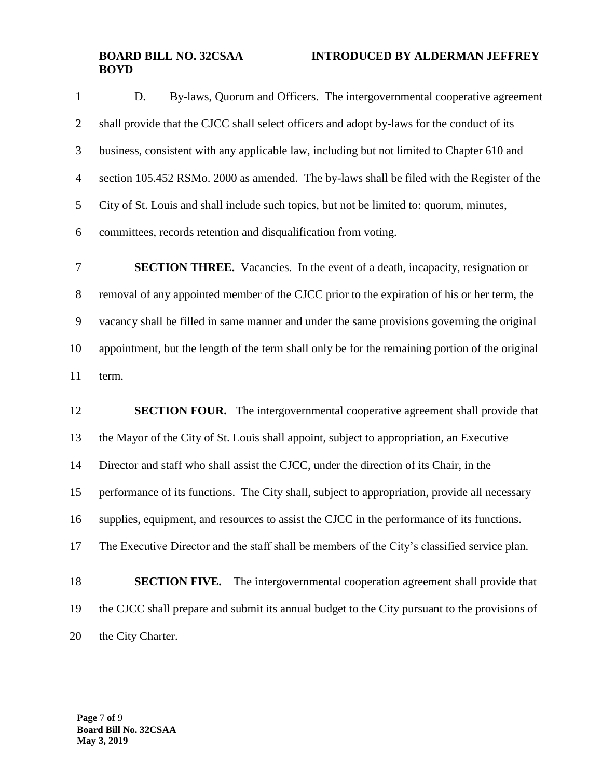1 D. By-laws, Quorum and Officers. The intergovernmental cooperative agreement shall provide that the CJCC shall select officers and adopt by-laws for the conduct of its business, consistent with any applicable law, including but not limited to Chapter 610 and section 105.452 RSMo. 2000 as amended. The by-laws shall be filed with the Register of the City of St. Louis and shall include such topics, but not be limited to: quorum, minutes, committees, records retention and disqualification from voting.

 **SECTION THREE.** Vacancies. In the event of a death, incapacity, resignation or removal of any appointed member of the CJCC prior to the expiration of his or her term, the vacancy shall be filled in same manner and under the same provisions governing the original appointment, but the length of the term shall only be for the remaining portion of the original term.

**SECTION FOUR.** The intergovernmental cooperative agreement shall provide that the Mayor of the City of St. Louis shall appoint, subject to appropriation, an Executive Director and staff who shall assist the CJCC, under the direction of its Chair, in the performance of its functions. The City shall, subject to appropriation, provide all necessary supplies, equipment, and resources to assist the CJCC in the performance of its functions. The Executive Director and the staff shall be members of the City's classified service plan. **SECTION FIVE.** The intergovernmental cooperation agreement shall provide that the CJCC shall prepare and submit its annual budget to the City pursuant to the provisions of the City Charter.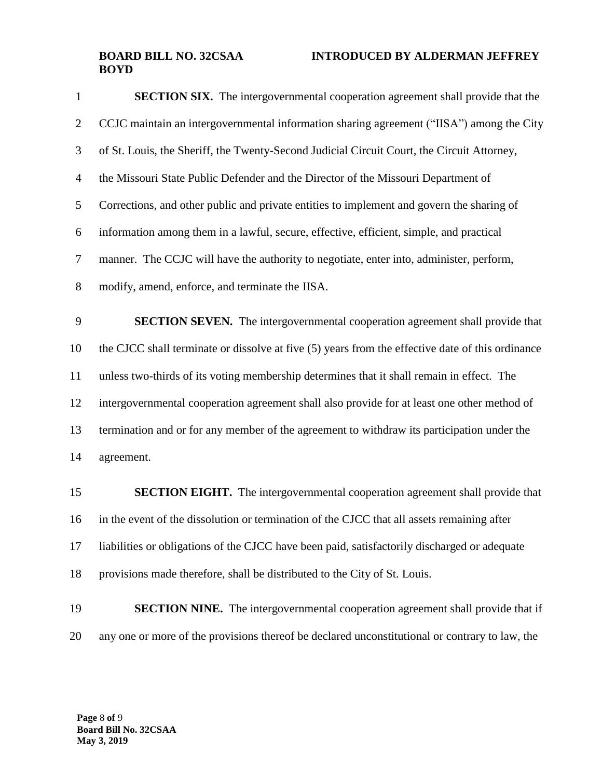| 1              | <b>SECTION SIX.</b> The intergovernmental cooperation agreement shall provide that the           |
|----------------|--------------------------------------------------------------------------------------------------|
| $\overline{2}$ | CCJC maintain an intergovernmental information sharing agreement ("IISA") among the City         |
| 3              | of St. Louis, the Sheriff, the Twenty-Second Judicial Circuit Court, the Circuit Attorney,       |
| $\overline{4}$ | the Missouri State Public Defender and the Director of the Missouri Department of                |
| 5              | Corrections, and other public and private entities to implement and govern the sharing of        |
| 6              | information among them in a lawful, secure, effective, efficient, simple, and practical          |
| $\tau$         | manner. The CCJC will have the authority to negotiate, enter into, administer, perform,          |
| 8              | modify, amend, enforce, and terminate the IISA.                                                  |
| 9              | <b>SECTION SEVEN.</b> The intergovernmental cooperation agreement shall provide that             |
| 10             | the CJCC shall terminate or dissolve at five (5) years from the effective date of this ordinance |
| 11             | unless two-thirds of its voting membership determines that it shall remain in effect. The        |
| 12             | intergovernmental cooperation agreement shall also provide for at least one other method of      |
| 13             | termination and or for any member of the agreement to withdraw its participation under the       |
| 14             | agreement.                                                                                       |
| 15             | <b>SECTION EIGHT.</b> The intergovernmental cooperation agreement shall provide that             |
| 16             | in the event of the dissolution or termination of the CJCC that all assets remaining after       |
| 17             | liabilities or obligations of the CJCC have been paid, satisfactorily discharged or adequate     |
| 18             | provisions made therefore, shall be distributed to the City of St. Louis.                        |
| 19             | <b>SECTION NINE.</b> The intergovernmental cooperation agreement shall provide that if           |

any one or more of the provisions thereof be declared unconstitutional or contrary to law, the